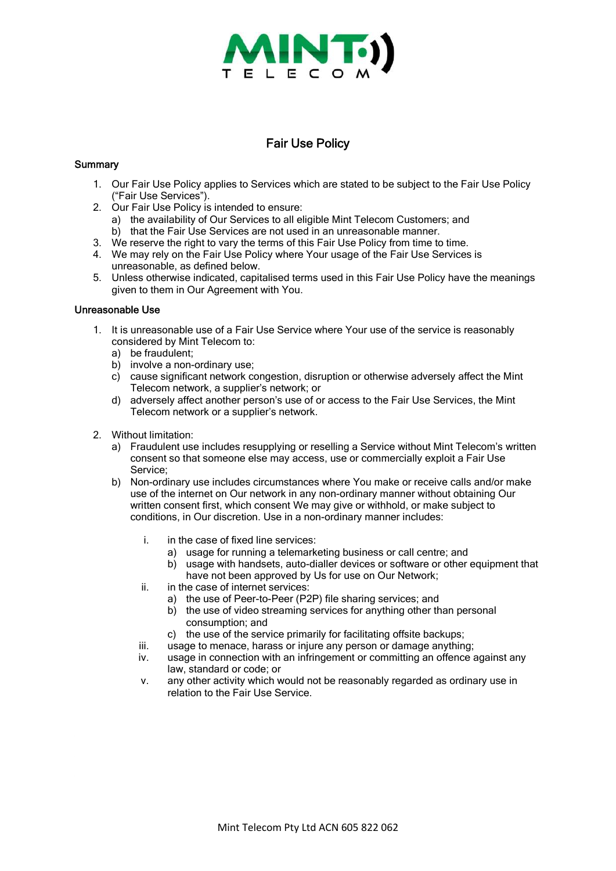

## Fair Use Policy

## **Summary**

- 1. Our Fair Use Policy applies to Services which are stated to be subject to the Fair Use Policy ("Fair Use Services").
- 2. Our Fair Use Policy is intended to ensure:
	- a) the availability of Our Services to all eligible Mint Telecom Customers; and
	- b) that the Fair Use Services are not used in an unreasonable manner.
- 3. We reserve the right to vary the terms of this Fair Use Policy from time to time.
- 4. We may rely on the Fair Use Policy where Your usage of the Fair Use Services is unreasonable, as defined below.
- 5. Unless otherwise indicated, capitalised terms used in this Fair Use Policy have the meanings given to them in Our Agreement with You.

## Unreasonable Use

- 1. It is unreasonable use of a Fair Use Service where Your use of the service is reasonably considered by Mint Telecom to:
	- a) be fraudulent;
	- b) involve a non-ordinary use;
	- c) cause significant network congestion, disruption or otherwise adversely affect the Mint Telecom network, a supplier's network; or
	- d) adversely affect another person's use of or access to the Fair Use Services, the Mint Telecom network or a supplier's network.
- 2. Without limitation:
	- a) Fraudulent use includes resupplying or reselling a Service without Mint Telecom's written consent so that someone else may access, use or commercially exploit a Fair Use Service;
	- b) Non-ordinary use includes circumstances where You make or receive calls and/or make use of the internet on Our network in any non-ordinary manner without obtaining Our written consent first, which consent We may give or withhold, or make subject to conditions, in Our discretion. Use in a non-ordinary manner includes:
		- i. in the case of fixed line services:
			- a) usage for running a telemarketing business or call centre; and
			- b) usage with handsets, auto-dialler devices or software or other equipment that have not been approved by Us for use on Our Network;
		- ii. in the case of internet services:
			- a) the use of Peer-to-Peer (P2P) file sharing services; and
			- b) the use of video streaming services for anything other than personal consumption; and
			- c) the use of the service primarily for facilitating offsite backups;
		- iii. usage to menace, harass or injure any person or damage anything;
		- iv. usage in connection with an infringement or committing an offence against any law, standard or code; or
		- v. any other activity which would not be reasonably regarded as ordinary use in relation to the Fair Use Service.